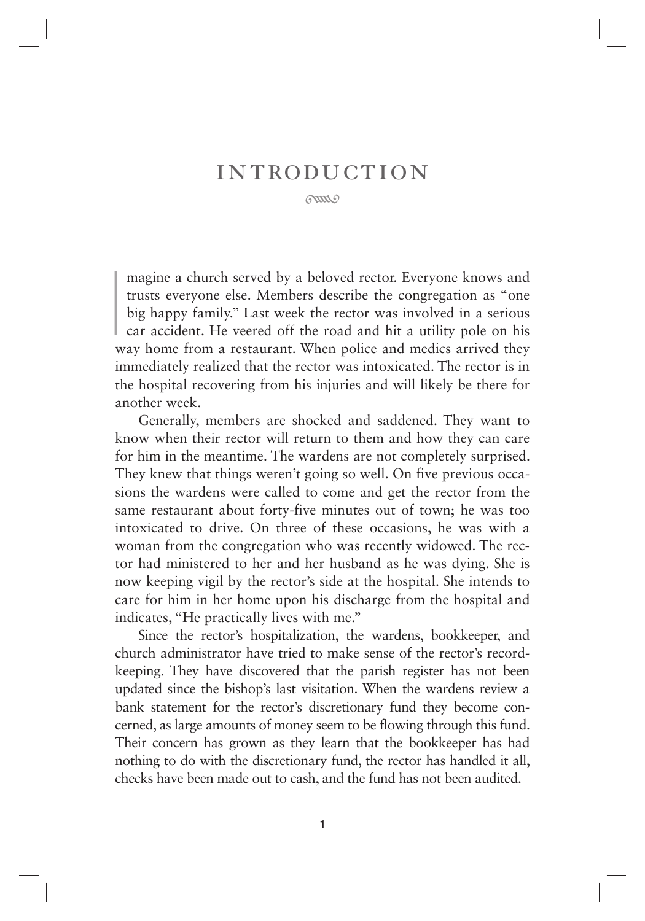# **INTRODUCTION**

 $G$ 

 $\begin{bmatrix} \frac{1}{2} & \frac{1}{2} & \frac{1}{2} \\ \frac{1}{2} & \frac{1}{2} & \frac{1}{2} \\ \frac{1}{2} & \frac{1}{2} & \frac{1}{2} \end{bmatrix}$ magine a church served by a beloved rector. Everyone knows and trusts everyone else. Members describe the congregation as "one big happy family." Last week the rector was involved in a serious car accident. He veered off the road and hit a utility pole on his way home from a restaurant. When police and medics arrived they immediately realized that the rector was intoxicated. The rector is in the hospital recovering from his injuries and will likely be there for another week.

Generally, members are shocked and saddened. They want to know when their rector will return to them and how they can care for him in the meantime. The wardens are not completely surprised. They knew that things weren't going so well. On five previous occasions the wardens were called to come and get the rector from the same restaurant about forty-five minutes out of town; he was too intoxicated to drive. On three of these occasions, he was with a woman from the congregation who was recently widowed. The rector had ministered to her and her husband as he was dying. She is now keeping vigil by the rector's side at the hospital. She intends to care for him in her home upon his discharge from the hospital and indicates, "He practically lives with me."

Since the rector's hospitalization, the wardens, bookkeeper, and church administrator have tried to make sense of the rector's recordkeeping. They have discovered that the parish register has not been updated since the bishop's last visitation. When the wardens review a bank statement for the rector's discretionary fund they become concerned, as large amounts of money seem to be flowing through this fund. Their concern has grown as they learn that the bookkeeper has had nothing to do with the discretionary fund, the rector has handled it all, checks have been made out to cash, and the fund has not been audited.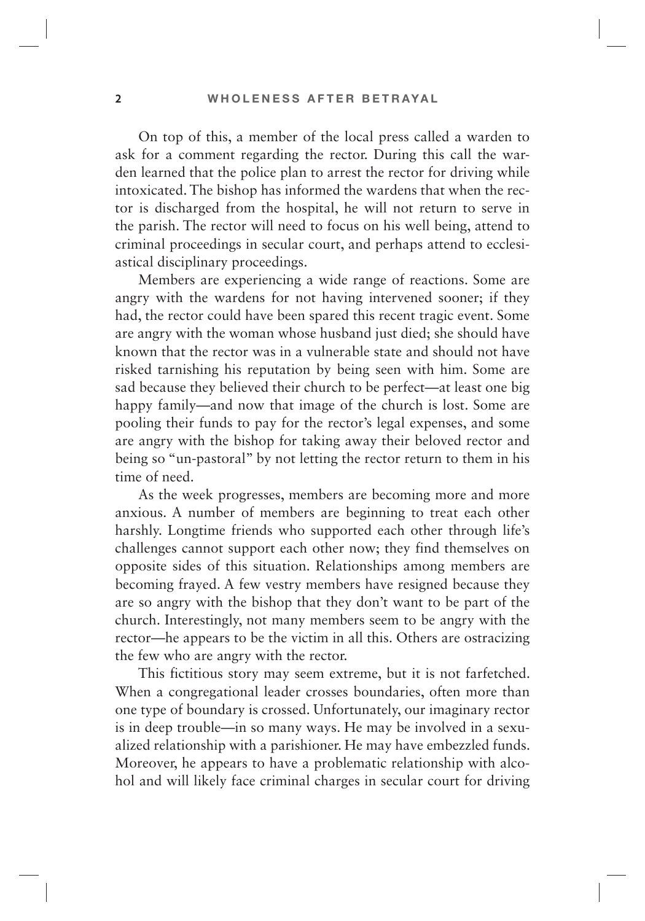On top of this, a member of the local press called a warden to ask for a comment regarding the rector. During this call the warden learned that the police plan to arrest the rector for driving while intoxicated. The bishop has informed the wardens that when the rector is discharged from the hospital, he will not return to serve in the parish. The rector will need to focus on his well being, attend to criminal proceedings in secular court, and perhaps attend to ecclesiastical disciplinary proceedings.

Members are experiencing a wide range of reactions. Some are angry with the wardens for not having intervened sooner; if they had, the rector could have been spared this recent tragic event. Some are angry with the woman whose husband just died; she should have known that the rector was in a vulnerable state and should not have risked tarnishing his reputation by being seen with him. Some are sad because they believed their church to be perfect—at least one big happy family—and now that image of the church is lost. Some are pooling their funds to pay for the rector's legal expenses, and some are angry with the bishop for taking away their beloved rector and being so "un-pastoral" by not letting the rector return to them in his time of need.

As the week progresses, members are becoming more and more anxious. A number of members are beginning to treat each other harshly. Longtime friends who supported each other through life's challenges cannot support each other now; they find themselves on opposite sides of this situation. Relationships among members are becoming frayed. A few vestry members have resigned because they are so angry with the bishop that they don't want to be part of the church. Interestingly, not many members seem to be angry with the rector—he appears to be the victim in all this. Others are ostracizing the few who are angry with the rector.

This fictitious story may seem extreme, but it is not farfetched. When a congregational leader crosses boundaries, often more than one type of boundary is crossed. Unfortunately, our imaginary rector is in deep trouble—in so many ways. He may be involved in a sexualized relationship with a parishioner. He may have embezzled funds. Moreover, he appears to have a problematic relationship with alcohol and will likely face criminal charges in secular court for driving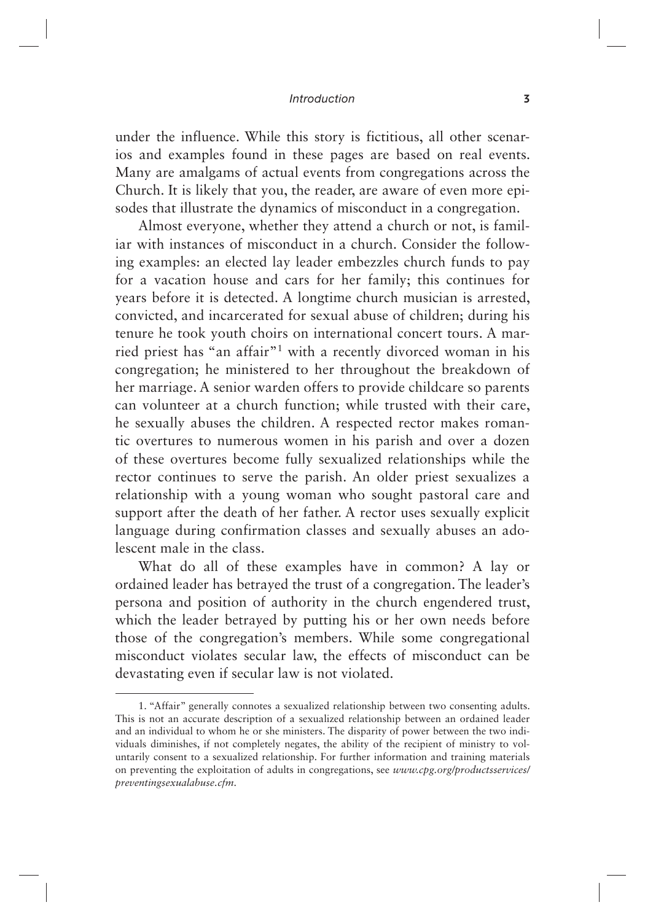#### Introduction **3**

under the influence. While this story is fictitious, all other scenarios and examples found in these pages are based on real events. Many are amalgams of actual events from congregations across the Church. It is likely that you, the reader, are aware of even more episodes that illustrate the dynamics of misconduct in a congregation.

Almost everyone, whether they attend a church or not, is familiar with instances of misconduct in a church. Consider the following examples: an elected lay leader embezzles church funds to pay for a vacation house and cars for her family; this continues for years before it is detected. A longtime church musician is arrested, convicted, and incarcerated for sexual abuse of children; during his tenure he took youth choirs on international concert tours. A married priest has "an affair"1 with a recently divorced woman in his congregation; he ministered to her throughout the breakdown of her marriage. A senior warden offers to provide childcare so parents can volunteer at a church function; while trusted with their care, he sexually abuses the children. A respected rector makes romantic overtures to numerous women in his parish and over a dozen of these overtures become fully sexualized relationships while the rector continues to serve the parish. An older priest sexualizes a relationship with a young woman who sought pastoral care and support after the death of her father. A rector uses sexually explicit language during confirmation classes and sexually abuses an adolescent male in the class.

What do all of these examples have in common? A lay or ordained leader has betrayed the trust of a congregation. The leader's persona and position of authority in the church engendered trust, which the leader betrayed by putting his or her own needs before those of the congregation's members. While some congregational misconduct violates secular law, the effects of misconduct can be devastating even if secular law is not violated.

<sup>1. &</sup>quot;Affair" generally connotes a sexualized relationship between two consenting adults. This is not an accurate description of a sexualized relationship between an ordained leader and an individual to whom he or she ministers. The disparity of power between the two individuals diminishes, if not completely negates, the ability of the recipient of ministry to voluntarily consent to a sexualized relationship. For further information and training materials on preventing the exploitation of adults in congregations, see *www.cpg.org/productsservices/ preventingsexualabuse.cfm.*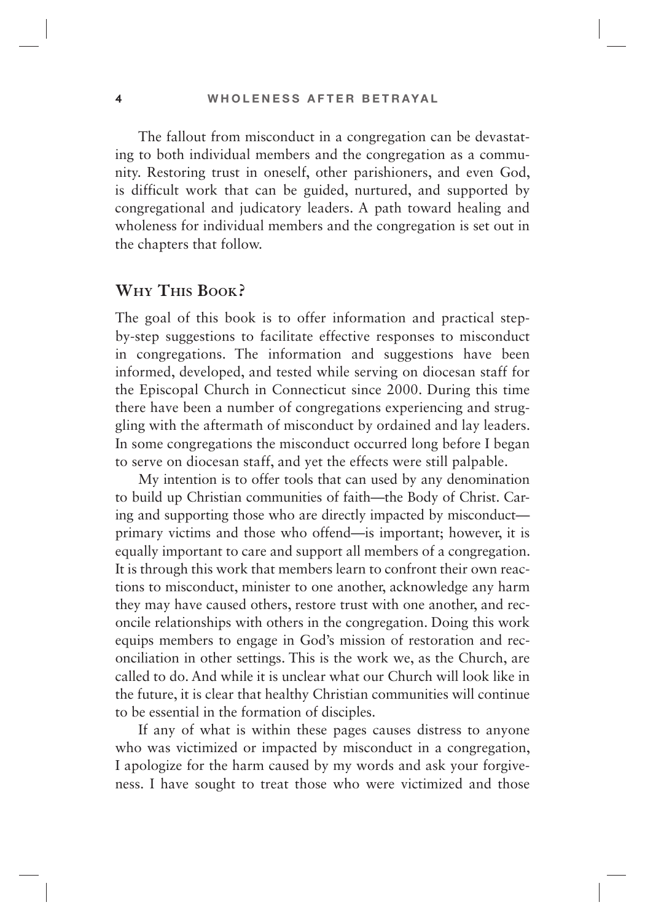The fallout from misconduct in a congregation can be devastating to both individual members and the congregation as a community. Restoring trust in oneself, other parishioners, and even God, is difficult work that can be guided, nurtured, and supported by congregational and judicatory leaders. A path toward healing and wholeness for individual members and the congregation is set out in the chapters that follow.

# **WHY THIS BOOK?**

The goal of this book is to offer information and practical stepby-step suggestions to facilitate effective responses to misconduct in congregations. The information and suggestions have been informed, developed, and tested while serving on diocesan staff for the Episcopal Church in Connecticut since 2000. During this time there have been a number of congregations experiencing and struggling with the aftermath of misconduct by ordained and lay leaders. In some congregations the misconduct occurred long before I began to serve on diocesan staff, and yet the effects were still palpable.

My intention is to offer tools that can used by any denomination to build up Christian communities of faith—the Body of Christ. Caring and supporting those who are directly impacted by misconduct primary victims and those who offend—is important; however, it is equally important to care and support all members of a congregation. It is through this work that members learn to confront their own reactions to misconduct, minister to one another, acknowledge any harm they may have caused others, restore trust with one another, and reconcile relationships with others in the congregation. Doing this work equips members to engage in God's mission of restoration and reconciliation in other settings. This is the work we, as the Church, are called to do. And while it is unclear what our Church will look like in the future, it is clear that healthy Christian communities will continue to be essential in the formation of disciples.

If any of what is within these pages causes distress to anyone who was victimized or impacted by misconduct in a congregation, I apologize for the harm caused by my words and ask your forgiveness. I have sought to treat those who were victimized and those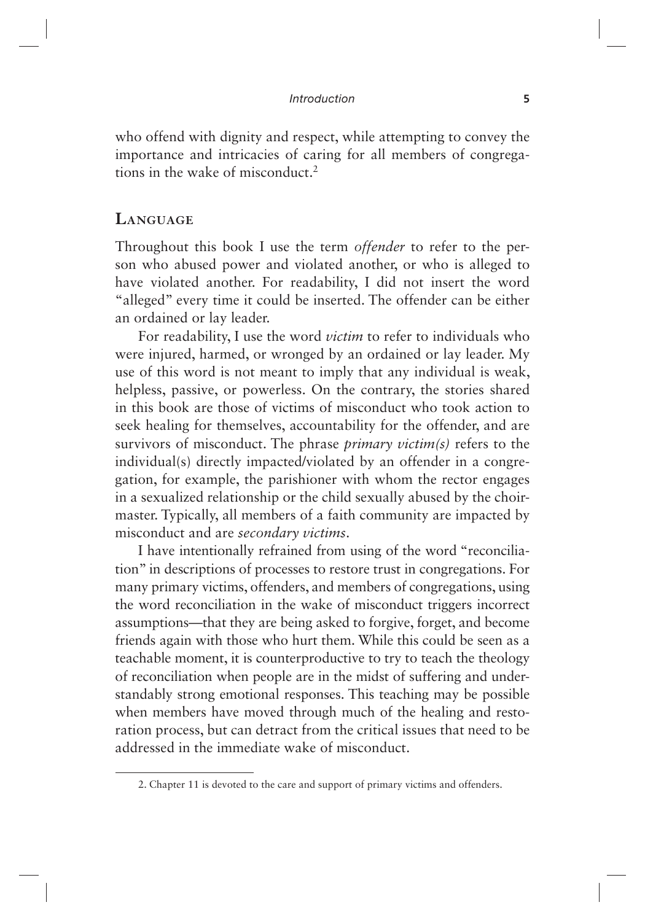#### Introduction **5**

who offend with dignity and respect, while attempting to convey the importance and intricacies of caring for all members of congregations in the wake of misconduct.<sup>2</sup>

## **LANGUAGE**

Throughout this book I use the term *offender* to refer to the person who abused power and violated another, or who is alleged to have violated another. For readability, I did not insert the word "alleged" every time it could be inserted. The offender can be either an ordained or lay leader.

For readability, I use the word *victim* to refer to individuals who were injured, harmed, or wronged by an ordained or lay leader. My use of this word is not meant to imply that any individual is weak, helpless, passive, or powerless. On the contrary, the stories shared in this book are those of victims of misconduct who took action to seek healing for themselves, accountability for the offender, and are survivors of misconduct. The phrase *primary victim(s)* refers to the individual(s) directly impacted/violated by an offender in a congregation, for example, the parishioner with whom the rector engages in a sexualized relationship or the child sexually abused by the choirmaster. Typically, all members of a faith community are impacted by misconduct and are *secondary victims*.

I have intentionally refrained from using of the word "reconciliation" in descriptions of processes to restore trust in congregations. For many primary victims, offenders, and members of congregations, using the word reconciliation in the wake of misconduct triggers incorrect assumptions—that they are being asked to forgive, forget, and become friends again with those who hurt them. While this could be seen as a teachable moment, it is counterproductive to try to teach the theology of reconciliation when people are in the midst of suffering and understandably strong emotional responses. This teaching may be possible when members have moved through much of the healing and restoration process, but can detract from the critical issues that need to be addressed in the immediate wake of misconduct.

<sup>2.</sup> Chapter 11 is devoted to the care and support of primary victims and offenders.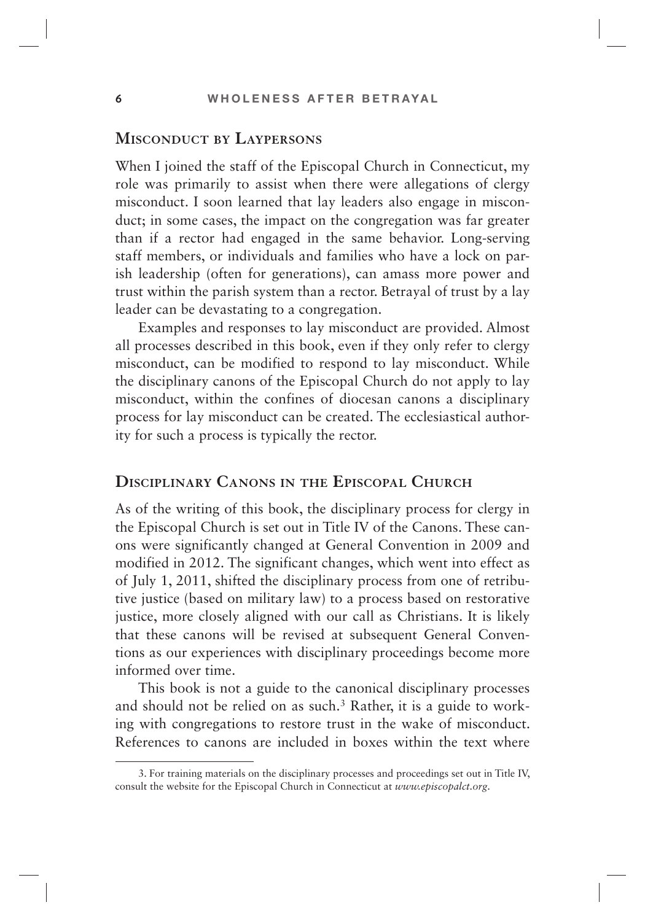## **MISCONDUCT BY LAYPERSONS**

When I joined the staff of the Episcopal Church in Connecticut, my role was primarily to assist when there were allegations of clergy misconduct. I soon learned that lay leaders also engage in misconduct; in some cases, the impact on the congregation was far greater than if a rector had engaged in the same behavior. Long-serving staff members, or individuals and families who have a lock on parish leadership (often for generations), can amass more power and trust within the parish system than a rector. Betrayal of trust by a lay leader can be devastating to a congregation.

Examples and responses to lay misconduct are provided. Almost all processes described in this book, even if they only refer to clergy misconduct, can be modified to respond to lay misconduct. While the disciplinary canons of the Episcopal Church do not apply to lay misconduct, within the confines of diocesan canons a disciplinary process for lay misconduct can be created. The ecclesiastical authority for such a process is typically the rector.

## **DISCIPLINARY CANONS IN THE EPISCOPAL CHURCH**

As of the writing of this book, the disciplinary process for clergy in the Episcopal Church is set out in Title IV of the Canons. These canons were significantly changed at General Convention in 2009 and modified in 2012. The significant changes, which went into effect as of July 1, 2011, shifted the disciplinary process from one of retributive justice (based on military law) to a process based on restorative justice, more closely aligned with our call as Christians. It is likely that these canons will be revised at subsequent General Conventions as our experiences with disciplinary proceedings become more informed over time.

This book is not a guide to the canonical disciplinary processes and should not be relied on as such.<sup>3</sup> Rather, it is a guide to working with congregations to restore trust in the wake of misconduct. References to canons are included in boxes within the text where

<sup>3.</sup> For training materials on the disciplinary processes and proceedings set out in Title IV, consult the website for the Episcopal Church in Connecticut at *www.episcopalct.org*.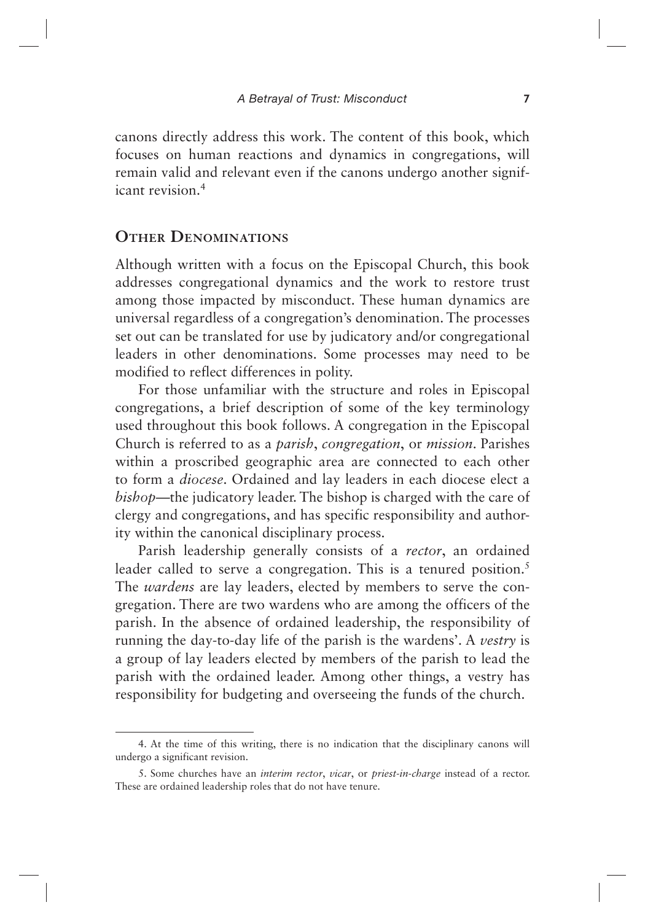canons directly address this work. The content of this book, which focuses on human reactions and dynamics in congregations, will remain valid and relevant even if the canons undergo another significant revision.4

# **OTHER DENOMINATIONS**

Although written with a focus on the Episcopal Church, this book addresses congregational dynamics and the work to restore trust among those impacted by misconduct. These human dynamics are universal regardless of a congregation's denomination. The processes set out can be translated for use by judicatory and/or congregational leaders in other denominations. Some processes may need to be modified to reflect differences in polity.

For those unfamiliar with the structure and roles in Episcopal congregations, a brief description of some of the key terminology used throughout this book follows. A congregation in the Episcopal Church is referred to as a *parish*, *congregation*, or *mission*. Parishes within a proscribed geographic area are connected to each other to form a *diocese*. Ordained and lay leaders in each diocese elect a *bishop—*the judicatory leader. The bishop is charged with the care of clergy and congregations, and has specific responsibility and authority within the canonical disciplinary process.

Parish leadership generally consists of a *rector*, an ordained leader called to serve a congregation. This is a tenured position.<sup>5</sup> The *wardens* are lay leaders, elected by members to serve the congregation. There are two wardens who are among the officers of the parish. In the absence of ordained leadership, the responsibility of running the day-to-day life of the parish is the wardens'. A *vestry* is a group of lay leaders elected by members of the parish to lead the parish with the ordained leader. Among other things, a vestry has responsibility for budgeting and overseeing the funds of the church.

<sup>4.</sup> At the time of this writing, there is no indication that the disciplinary canons will undergo a significant revision.

<sup>5.</sup> Some churches have an *interim rector*, *vicar*, or *priest-in-charge* instead of a rector. These are ordained leadership roles that do not have tenure.